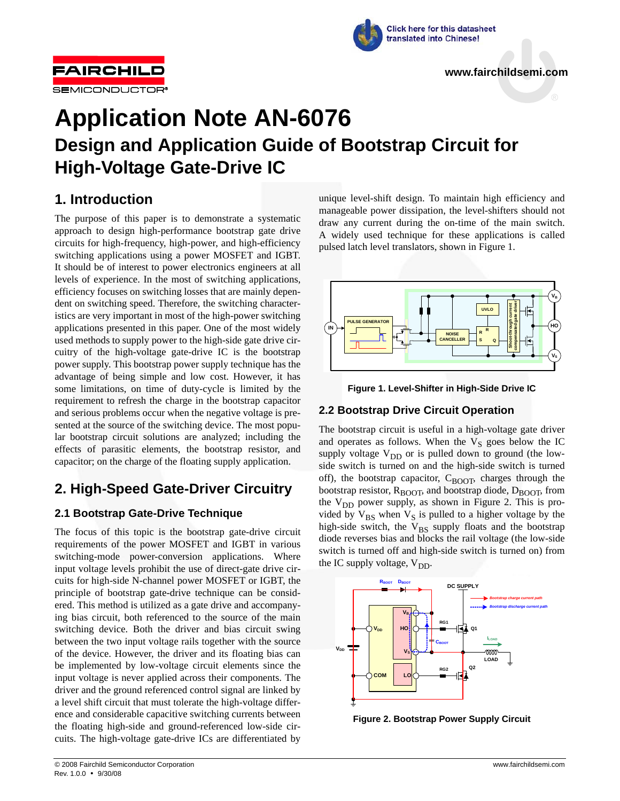



# **Application Note AN-6076 Design and Application Guide of Bootstrap Circuit for High-Voltage Gate-Drive IC**

## **1. Introduction**

The purpose of this paper is to demonstrate a systematic approach to design high-performance bootstrap gate drive circuits for high-frequency, high-power, and high-efficiency switching applications using a power MOSFET and IGBT. It should be of interest to power electronics engineers at all levels of experience. In the most of switching applications, efficiency focuses on switching losses that are mainly dependent on switching speed. Therefore, the switching characteristics are very important in most of the high-power switching applications presented in this paper. One of the most widely used methods to supply power to the high-side gate drive circuitry of the high-voltage gate-drive IC is the bootstrap power supply. This bootstrap power supply technique has the advantage of being simple and low cost. However, it has some limitations, on time of duty-cycle is limited by the requirement to refresh the charge in the bootstrap capacitor and serious problems occur when the negative voltage is presented at the source of the switching device. The most popular bootstrap circuit solutions are analyzed; including the effects of parasitic elements, the bootstrap resistor, and capacitor; on the charge of the floating supply application.

## **2. High-Speed Gate-Driver Circuitry**

## **2.1 Bootstrap Gate-Drive Technique**

The focus of this topic is the bootstrap gate-drive circuit requirements of the power MOSFET and IGBT in various switching-mode power-conversion applications. Where input voltage levels prohibit the use of direct-gate drive circuits for high-side N-channel power MOSFET or IGBT, the principle of bootstrap gate-drive technique can be considered. This method is utilized as a gate drive and accompanying bias circuit, both referenced to the source of the main switching device. Both the driver and bias circuit swing between the two input voltage rails together with the source of the device. However, the driver and its floating bias can be implemented by low-voltage circuit elements since the input voltage is never applied across their components. The driver and the ground referenced control signal are linked by a level shift circuit that must tolerate the high-voltage difference and considerable capacitive switching currents between the floating high-side and ground-referenced low-side circuits. The high-voltage gate-drive ICs are differentiated by unique level-shift design. To maintain high efficiency and manageable power dissipation, the level-shifters should not draw any current during the on-time of the main switch. A widely used technique for these applications is called pulsed latch level translators, shown in Figure 1.





## **2.2 Bootstrap Drive Circuit Operation**

The bootstrap circuit is useful in a high-voltage gate driver and operates as follows. When the  $V<sub>S</sub>$  goes below the IC supply voltage  $V_{DD}$  or is pulled down to ground (the lowside switch is turned on and the high-side switch is turned off), the bootstrap capacitor,  $C_{\text{BOOT}}$ , charges through the bootstrap resistor,  $R_{\text{BOOT}}$ , and bootstrap diode,  $D_{\text{BOOT}}$ , from the  $V_{DD}$  power supply, as shown in Figure 2. This is provided by  $V_{BS}$  when  $V_S$  is pulled to a higher voltage by the high-side switch, the  $V_{BS}$  supply floats and the bootstrap diode reverses bias and blocks the rail voltage (the low-side switch is turned off and high-side switch is turned on) from the IC supply voltage,  $V_{DD}$ .



**Figure 2. Bootstrap Power Supply Circuit**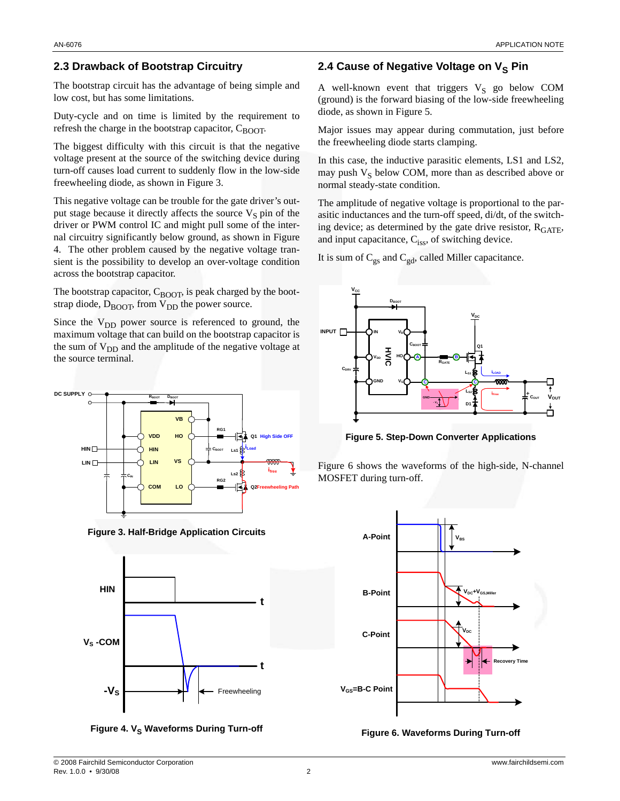## **2.3 Drawback of Bootstrap Circuitry**

The bootstrap circuit has the advantage of being simple and low cost, but has some limitations.

Duty-cycle and on time is limited by the requirement to refresh the charge in the bootstrap capacitor,  $C_{\text{BOOT}}$ .

The biggest difficulty with this circuit is that the negative voltage present at the source of the switching device during turn-off causes load current to suddenly flow in the low-side freewheeling diode, as shown in Figure 3.

This negative voltage can be trouble for the gate driver's output stage because it directly affects the source  $V<sub>S</sub>$  pin of the driver or PWM control IC and might pull some of the internal circuitry significantly below ground, as shown in Figure 4. The other problem caused by the negative voltage transient is the possibility to develop an over-voltage condition across the bootstrap capacitor.

The bootstrap capacitor,  $C_{\text{BOOT}}$ , is peak charged by the bootstrap diode,  $D_{\text{BOOT}}$ , from  $V_{\text{DD}}$  the power source.

Since the  $V_{DD}$  power source is referenced to ground, the maximum voltage that can build on the bootstrap capacitor is the sum of  $V_{DD}$  and the amplitude of the negative voltage at the source terminal.



**Figure 3. Half-Bridge Application Circuits**





## **2.4 Cause of Negative Voltage on V<sub>S</sub> Pin**

A well-known event that triggers  $V_S$  go below COM (ground) is the forward biasing of the low-side freewheeling diode, as shown in Figure 5.

Major issues may appear during commutation, just before the freewheeling diode starts clamping.

In this case, the inductive parasitic elements, LS1 and LS2, may push  $V<sub>S</sub>$  below COM, more than as described above or normal steady-state condition.

The amplitude of negative voltage is proportional to the parasitic inductances and the turn-off speed, di/dt, of the switching device; as determined by the gate drive resistor,  $R_{GATE}$ , and input capacitance,  $C_{iss}$ , of switching device.

It is sum of  $C_{gs}$  and  $C_{gd}$ , called Miller capacitance.



**Figure 5. Step-Down Converter Applications**

Figure 6 shows the waveforms of the high-side, N-channel MOSFET during turn-off.



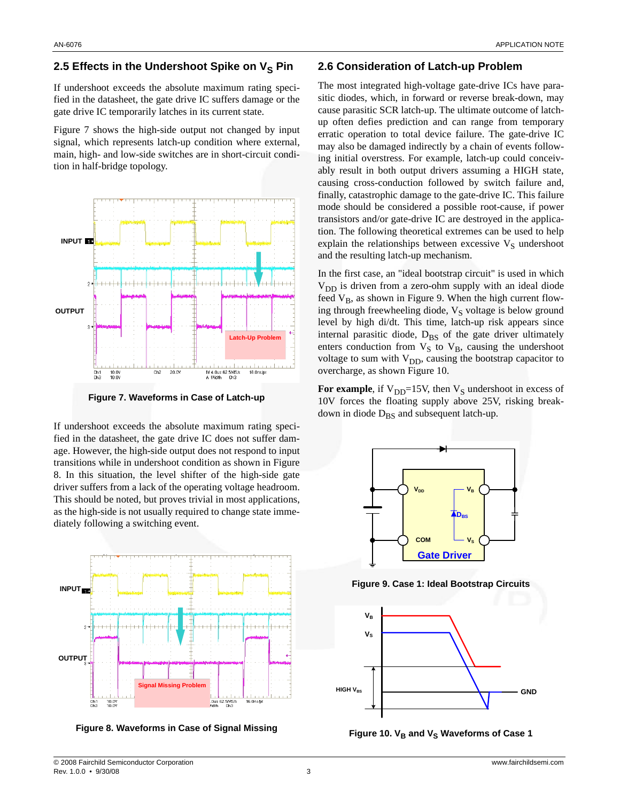## **2.5 Effects in the Undershoot Spike on V<sub>S</sub> Pin**

If undershoot exceeds the absolute maximum rating specified in the datasheet, the gate drive IC suffers damage or the gate drive IC temporarily latches in its current state.

Figure 7 shows the high-side output not changed by input signal, which represents latch-up condition where external, main, high- and low-side switches are in short-circuit condition in half-bridge topology.



**Figure 7. Waveforms in Case of Latch-up**

If undershoot exceeds the absolute maximum rating specified in the datasheet, the gate drive IC does not suffer damage. However, the high-side output does not respond to input transitions while in undershoot condition as shown in Figure 8. In this situation, the level shifter of the high-side gate driver suffers from a lack of the operating voltage headroom. This should be noted, but proves trivial in most applications, as the high-side is not usually required to change state immediately following a switching event.



**Figure 8. Waveforms in Case of Signal Missing**

## **2.6 Consideration of Latch-up Problem**

The most integrated high-voltage gate-drive ICs have parasitic diodes, which, in forward or reverse break-down, may cause parasitic SCR latch-up. The ultimate outcome of latchup often defies prediction and can range from temporary erratic operation to total device failure. The gate-drive IC may also be damaged indirectly by a chain of events following initial overstress. For example, latch-up could conceivably result in both output drivers assuming a HIGH state, causing cross-conduction followed by switch failure and, finally, catastrophic damage to the gate-drive IC. This failure mode should be considered a possible root-cause, if power transistors and/or gate-drive IC are destroyed in the application. The following theoretical extremes can be used to help explain the relationships between excessive  $V<sub>S</sub>$  undershoot and the resulting latch-up mechanism.

In the first case, an "ideal bootstrap circuit" is used in which  $V_{DD}$  is driven from a zero-ohm supply with an ideal diode feed  $V_B$ , as shown in Figure 9. When the high current flowing through freewheeling diode,  $V_S$  voltage is below ground level by high di/dt. This time, latch-up risk appears since internal parasitic diode,  $D_{BS}$  of the gate driver ultimately enters conduction from  $V_S$  to  $V_B$ , causing the undershoot voltage to sum with  $V_{DD}$ , causing the bootstrap capacitor to overcharge, as shown Figure 10.

For example, if  $V_{DD}$ =15V, then  $V_S$  undershoot in excess of 10V forces the floating supply above 25V, risking breakdown in diode  $D_{BS}$  and subsequent latch-up.



**Figure 9. Case 1: Ideal Bootstrap Circuits**



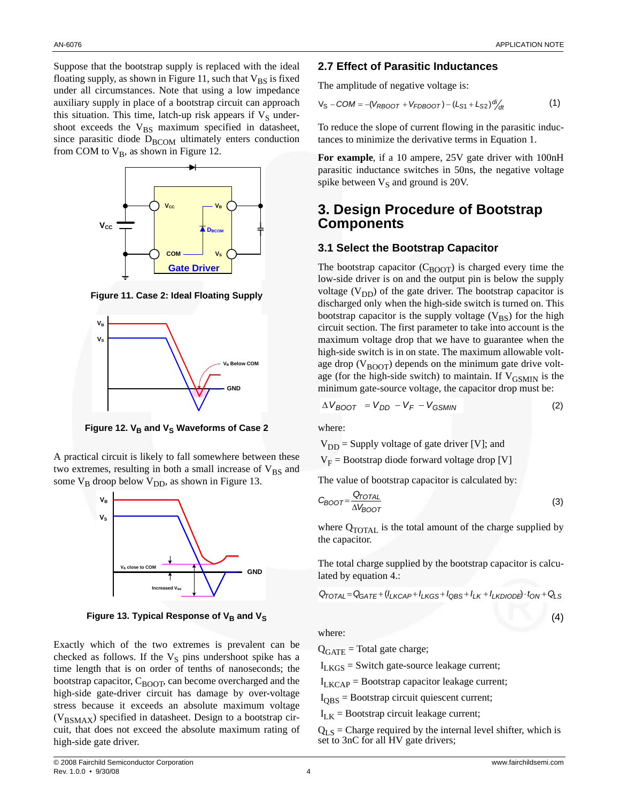Suppose that the bootstrap supply is replaced with the ideal floating supply, as shown in Figure 11, such that  $V_{BS}$  is fixed under all circumstances. Note that using a low impedance auxiliary supply in place of a bootstrap circuit can approach this situation. This time, latch-up risk appears if  $V_S$  undershoot exceeds the  $V_{BS}$  maximum specified in datasheet, since parasitic diode  $D_{\text{BCOM}}$  ultimately enters conduction from COM to  $V_B$ , as shown in Figure 12.



**Figure 11. Case 2: Ideal Floating Supply**



Figure 12. V<sub>B</sub> and V<sub>S</sub> Waveforms of Case 2

A practical circuit is likely to fall somewhere between these two extremes, resulting in both a small increase of  $V_{BS}$  and some  $V_B$  droop below  $V_{DD}$ , as shown in Figure 13.



Figure 13. Typical Response of V<sub>B</sub> and V<sub>S</sub>

Exactly which of the two extremes is prevalent can be checked as follows. If the  $V<sub>S</sub>$  pins undershoot spike has a time length that is on order of tenths of nanoseconds; the bootstrap capacitor,  $C_{\text{BOOT}}$ , can become overcharged and the high-side gate-driver circuit has damage by over-voltage stress because it exceeds an absolute maximum voltage  $(V_{BSMAX})$  specified in datasheet. Design to a bootstrap circuit, that does not exceed the absolute maximum rating of high-side gate driver.

#### **2.7 Effect of Parasitic Inductances**

The amplitude of negative voltage is:

$$
V_S - COM = -(V_{RBOOT} + V_{FDBOOT}) - (L_{S1} + L_{S2}) \frac{di}{dt}
$$
 (1)

To reduce the slope of current flowing in the parasitic inductances to minimize the derivative terms in Equation 1.

For example, if a 10 ampere, 25V gate driver with 100nH parasitic inductance switches in 50ns, the negative voltage spike between  $V_S$  and ground is 20V.

## **3. Design Procedure of Bootstrap Components**

#### **3.1 Select the Bootstrap Capacitor**

The bootstrap capacitor  $(C_{\text{BOOT}})$  is charged every time the low-side driver is on and the output pin is below the supply voltage  $(V_{DD})$  of the gate driver. The bootstrap capacitor is discharged only when the high-side switch is turned on. This bootstrap capacitor is the supply voltage  $(V_{BS})$  for the high circuit section. The first parameter to take into account is the maximum voltage drop that we have to guarantee when the high-side switch is in on state. The maximum allowable voltage drop ( $V_{\text{BOOT}}$ ) depends on the minimum gate drive voltage (for the high-side switch) to maintain. If  $V_{\text{GSMIN}}$  is the minimum gate-source voltage, the capacitor drop must be:

$$
\Delta V_{BOOT} = V_{DD} - V_F - V_{GSMIN} \tag{2}
$$

where:

$$
V_{DD}
$$
 = Supply voltage of gate driver [V]; and  
 $V_F$  = Bootstrap diode forward voltage drop [V]

The value of bootstrap capacitor is calculated by:

$$
C_{BOOT} = \frac{Q_{TOT}}{\Delta V_{BOOT}} \tag{3}
$$

where  $Q_{\text{TOTAL}}$  is the total amount of the charge supplied by the capacitor.

The total charge supplied by the bootstrap capacitor is calculated by equation 4.:

$$
Q_{\text{TOTAL}} = Q_{\text{GATE}} + (I_{LKCAP} + I_{LKGS} + I_{\text{QBS}} + I_{LK} + I_{LKDIODB} \cdot t_{\text{ON}} + Q_{LS}
$$

where:

 $Q<sub>GATE</sub>$  = Total gate charge;

 $I_{LKGS}$  = Switch gate-source leakage current;

 $I_{LKCAP}$  = Bootstrap capacitor leakage current;

 $I<sub>OBS</sub> =$  Bootstrap circuit quiescent current;

 $I_{L,K}$  = Bootstrap circuit leakage current;

 $Q_{LS}$  = Charge required by the internal level shifter, which is set to 3nC for all HV gate drivers;

(4)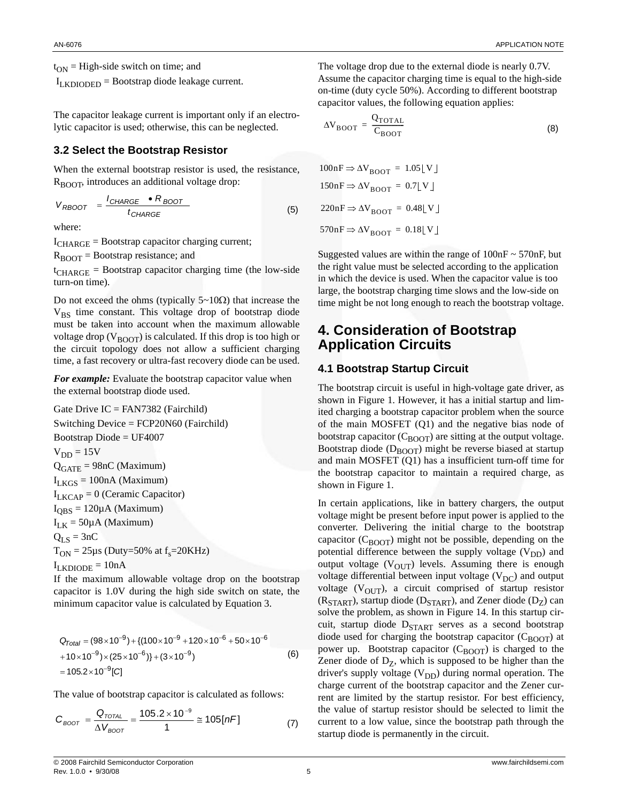$t_{ON}$  = High-side switch on time; and

 $I_{LKDIODED} =$  Bootstrap diode leakage current.

The capacitor leakage current is important only if an electrolytic capacitor is used; otherwise, this can be neglected.

## **3.2 Select the Bootstrap Resistor**

When the external bootstrap resistor is used, the resistance, R<sub>BOOT</sub>, introduces an additional voltage drop:

$$
V_{RBOOT} = \frac{I_{CHARGE} \cdot R_{BOOT}}{t_{CHARGE}} \tag{5}
$$

where:

 $I_{\text{CHARGE}}$  = Bootstrap capacitor charging current;

 $R_{\text{BOOT}}$  = Bootstrap resistance; and

 $t_{\text{CHARGE}}$  = Bootstrap capacitor charging time (the low-side turn-on time).

Do not exceed the ohms (typically 5~10Ω) that increase the  $V_{BS}$  time constant. This voltage drop of bootstrap diode must be taken into account when the maximum allowable voltage drop ( $V_{\text{BOOT}}$ ) is calculated. If this drop is too high or the circuit topology does not allow a sufficient charging time, a fast recovery or ultra-fast recovery diode can be used.

*For example:* Evaluate the bootstrap capacitor value when the external bootstrap diode used.

Gate Drive IC = FAN7382 (Fairchild) Switching Device = FCP20N60 (Fairchild) Bootstrap Diode = UF4007  $V_{DD} = 15V$  $Q<sub>GATE</sub> = 98nC (Maximum)$  $I_{LKGS} = 100nA (Maximum)$  $I_{LKCAP} = 0$  (Ceramic Capacitor)  $I_{\text{OBS}} = 120 \mu \text{A}$  (Maximum)  $I_{LK}$  = 50µA (Maximum)  $Q_{LS} = 3nC$  $T_{ON}$  = 25µs (Duty=50% at  $f_s$ =20KHz)  $I_{LKDIODE} = 10nA$ 

If the maximum allowable voltage drop on the bootstrap capacitor is 1.0V during the high side switch on state, the minimum capacitor value is calculated by Equation 3.

$$
Q_{Total} = (98 \times 10^{-9}) + \{(100 \times 10^{-9} + 120 \times 10^{-6} + 50 \times 10^{-6} + 10 \times 10^{-9}) \times (25 \times 10^{-6})\} + (3 \times 10^{-9})
$$
\n
$$
= 105.2 \times 10^{-9} [C]
$$
\n(6)

The value of bootstrap capacitor is calculated as follows:

$$
C_{\text{BOOT}} = \frac{Q_{\text{TOTAL}}}{\Delta V_{\text{BOOT}}} = \frac{105.2 \times 10^{-9}}{1} \approx 105 [nF] \tag{7}
$$

The voltage drop due to the external diode is nearly 0.7V. Assume the capacitor charging time is equal to the high-side on-time (duty cycle 50%). According to different bootstrap capacitor values, the following equation applies:

$$
\Delta V_{\text{BOOT}} = \frac{Q_{\text{TOTAL}}}{C_{\text{BOOT}}} \tag{8}
$$

$$
100nF \Rightarrow \Delta V_{\text{BOOT}} = 1.05 \lfloor V \rfloor
$$
  
\n
$$
150nF \Rightarrow \Delta V_{\text{BOOT}} = 0.7 \lfloor V \rfloor
$$
  
\n
$$
220nF \Rightarrow \Delta V_{\text{BOOT}} = 0.48 \lfloor V \rfloor
$$
  
\n
$$
570nF \Rightarrow \Delta V_{\text{BOOT}} = 0.18 \lfloor V \rfloor
$$

Suggested values are within the range of  $100nF \sim 570nF$ , but the right value must be selected according to the application in which the device is used. When the capacitor value is too large, the bootstrap charging time slows and the low-side on time might be not long enough to reach the bootstrap voltage.

## **4. Consideration of Bootstrap Application Circuits**

#### **4.1 Bootstrap Startup Circuit**

The bootstrap circuit is useful in high-voltage gate driver, as shown in Figure 1. However, it has a initial startup and limited charging a bootstrap capacitor problem when the source of the main MOSFET (Q1) and the negative bias node of bootstrap capacitor  $(C_{\text{BNOT}})$  are sitting at the output voltage. Bootstrap diode  $(D_{\text{BOOT}})$  might be reverse biased at startup and main MOSFET (Q1) has a insufficient turn-off time for the bootstrap capacitor to maintain a required charge, as shown in Figure 1.

In certain applications, like in battery chargers, the output voltage might be present before input power is applied to the converter. Delivering the initial charge to the bootstrap capacitor  $(C_{\text{B}\text{O}\text{O}\text{T}})$  might not be possible, depending on the potential difference between the supply voltage  $(V_{DD})$  and output voltage  $(V<sub>OUT</sub>)$  levels. Assuming there is enough voltage differential between input voltage  $(V_{DC})$  and output voltage ( $V_{\text{OUT}}$ ), a circuit comprised of startup resistor  $(R_{STAT})$ , startup diode ( $D_{STAT}$ ), and Zener diode ( $D_Z$ ) can solve the problem, as shown in Figure 14. In this startup circuit, startup diode  $D_{\text{STAT}}$  serves as a second bootstrap diode used for charging the bootstrap capacitor  $(C_{\text{BOOT}})$  at power up. Bootstrap capacitor  $(C_{\text{BOOT}})$  is charged to the Zener diode of  $D_Z$ , which is supposed to be higher than the driver's supply voltage  $(V_{DD})$  during normal operation. The charge current of the bootstrap capacitor and the Zener current are limited by the startup resistor. For best efficiency, the value of startup resistor should be selected to limit the current to a low value, since the bootstrap path through the startup diode is permanently in the circuit.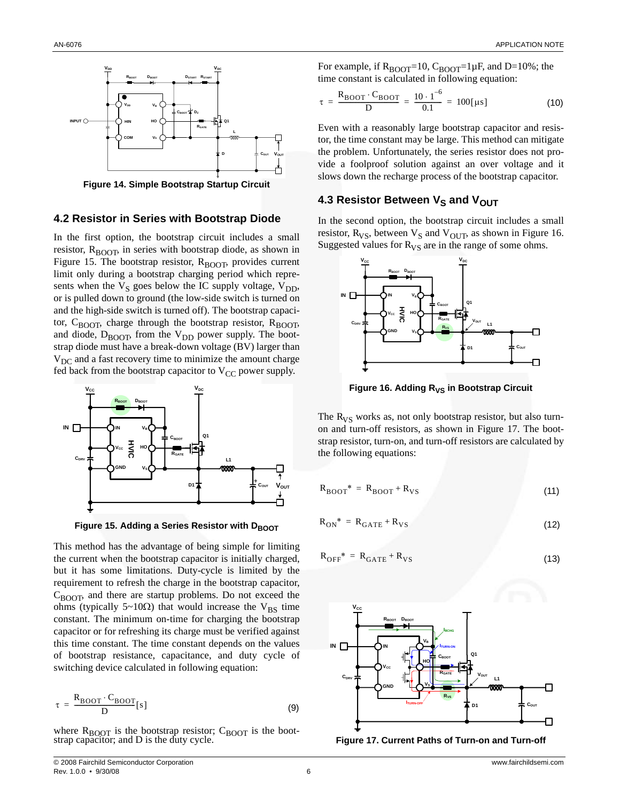

**Figure 14. Simple Bootstrap Startup Circuit**

#### **4.2 Resistor in Series with Bootstrap Diode**

In the first option, the bootstrap circuit includes a small resistor,  $R_{\text{BODT}}$ , in series with bootstrap diode, as shown in Figure 15. The bootstrap resistor,  $R_{\text{BOOF}}$ , provides current limit only during a bootstrap charging period which represents when the  $V_S$  goes below the IC supply voltage,  $V_{DD}$ , or is pulled down to ground (the low-side switch is turned on and the high-side switch is turned off). The bootstrap capacitor,  $C_{\text{BOOT}}$ , charge through the bootstrap resistor,  $R_{\text{BOOT}}$ , and diode,  $D_{\text{BOOF}}$ , from the  $V_{\text{DD}}$  power supply. The bootstrap diode must have a break-down voltage (BV) larger than  $V_{\text{DC}}$  and a fast recovery time to minimize the amount charge fed back from the bootstrap capacitor to  $V_{CC}$  power supply.



**Figure 15. Adding a Series Resistor with DBOOT** 

This method has the advantage of being simple for limiting the current when the bootstrap capacitor is initially charged, but it has some limitations. Duty-cycle is limited by the requirement to refresh the charge in the bootstrap capacitor,  $C_{\text{BOOF}}$ , and there are startup problems. Do not exceed the ohms (typically 5~10 $\Omega$ ) that would increase the V<sub>BS</sub> time constant. The minimum on-time for charging the bootstrap capacitor or for refreshing its charge must be verified against this time constant. The time constant depends on the values of bootstrap resistance, capacitance, and duty cycle of switching device calculated in following equation:

$$
\tau = \frac{R_{\text{BOOT}} \cdot C_{\text{BOOT}}}{D} [s]
$$
 (9)

where  $R_{\text{BOOT}}$  is the bootstrap resistor;  $C_{\text{BOOT}}$  is the bootstrap capacitor; and D is the duty cycle.

For example, if  $R_{\text{BOOT}}=10$ ,  $C_{\text{BOOT}}=1 \mu F$ , and D=10%; the time constant is calculated in following equation:

$$
\tau = \frac{R_{\text{BOOT}} \cdot C_{\text{BOOT}}}{D} = \frac{10 \cdot 1^{-6}}{0.1} = 100 [\mu s]
$$
 (10)

Even with a reasonably large bootstrap capacitor and resistor, the time constant may be large. This method can mitigate the problem. Unfortunately, the series resistor does not provide a foolproof solution against an over voltage and it slows down the recharge process of the bootstrap capacitor.

## **4.3 Resistor Between V<sub>S</sub> and V<sub>OUT</sub>**

In the second option, the bootstrap circuit includes a small resistor,  $R_{VS}$ , between  $V_S$  and  $V_{OUT}$ , as shown in Figure 16. Suggested values for  $R_{VS}$  are in the range of some ohms.



Figure 16. Adding R<sub>VS</sub> in Bootstrap Circuit

The  $R_{VS}$  works as, not only bootstrap resistor, but also turnon and turn-off resistors, as shown in Figure 17. The bootstrap resistor, turn-on, and turn-off resistors are calculated by the following equations:

$$
R_{\text{BOOT}}^* = R_{\text{BOOT}} + R_{\text{VS}} \tag{11}
$$

$$
R_{\text{ON}}^* = R_{\text{GATE}} + R_{\text{VS}} \tag{12}
$$

$$
R_{\text{OFF}}^* = R_{\text{GATE}} + R_{\text{VS}} \tag{13}
$$



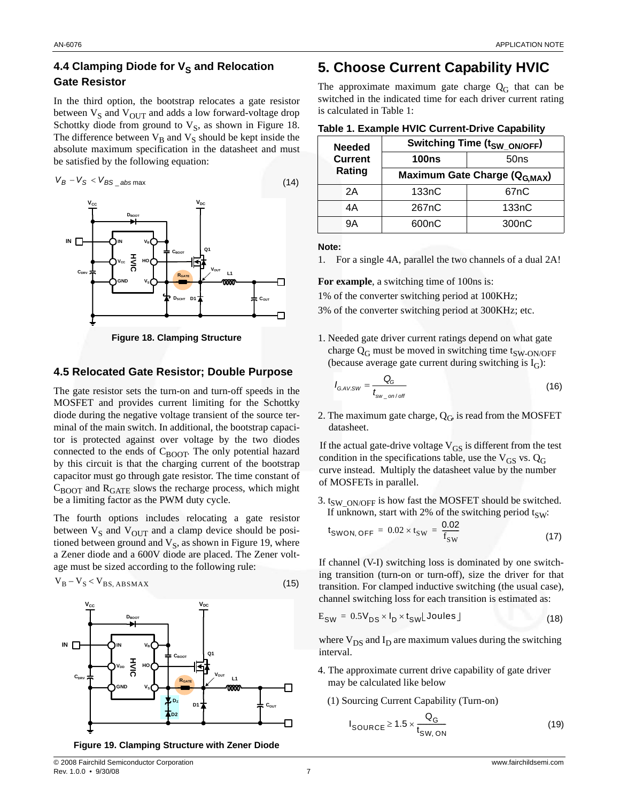## **4.4 Clamping Diode for V<sub>S</sub> and Relocation Gate Resistor**

In the third option, the bootstrap relocates a gate resistor between  $V_S$  and  $V_{OUT}$  and adds a low forward-voltage drop Schottky diode from ground to  $V<sub>S</sub>$ , as shown in Figure 18. The difference between  $V_B$  and  $V_S$  should be kept inside the absolute maximum specification in the datasheet and must be satisfied by the following equation:



## **4.5 Relocated Gate Resistor; Double Purpose**

The gate resistor sets the turn-on and turn-off speeds in the MOSFET and provides current limiting for the Schottky diode during the negative voltage transient of the source terminal of the main switch. In additional, the bootstrap capacitor is protected against over voltage by the two diodes connected to the ends of  $C_{\text{BOOT}}$ . The only potential hazard by this circuit is that the charging current of the bootstrap capacitor must go through gate resistor. The time constant of  $C_{\text{BOOT}}$  and  $R_{\text{GATE}}$  slows the recharge process, which might be a limiting factor as the PWM duty cycle.

The fourth options includes relocating a gate resistor between  $V_S$  and  $V_{OUT}$  and a clamp device should be positioned between ground and  $V_S$ , as shown in Figure 19, where a Zener diode and a 600V diode are placed. The Zener voltage must be sized according to the following rule:





## **5. Choose Current Capability HVIC**

The approximate maximum gate charge  $Q_G$  that can be switched in the indicated time for each driver current rating is calculated in Table 1:

| <b>Needed</b><br><b>Current</b><br>Rating | Switching Time (t <sub>SW_ON/OFF</sub> )  |                    |
|-------------------------------------------|-------------------------------------------|--------------------|
|                                           | <b>100ns</b>                              | 50ns               |
|                                           | Maximum Gate Charge (Q <sub>G.MAX</sub> ) |                    |
| 2A                                        | 133nC                                     | 67 <sub>n</sub> C  |
| 4Α                                        | 267nC                                     | 133nC              |
| 9Α                                        | 600nC                                     | 300 <sub>n</sub> C |

**Note:**

1. For a single 4A, parallel the two channels of a dual 2A!

For example, a switching time of 100ns is:

1% of the converter switching period at 100KHz;

3% of the converter switching period at 300KHz; etc.

1. Needed gate driver current ratings depend on what gate charge  $Q_G$  must be moved in switching time t<sub>SW-ON/OFF</sub> (because average gate current during switching is  $I_G$ ):

$$
I_{\text{G.AV.SW}} = \frac{Q_{\text{G}}}{t_{\text{sw\_on/off}}}
$$
(16)

2. The maximum gate charge,  $Q_G$  is read from the MOSFET datasheet.

If the actual gate-drive voltage  $V_{GS}$  is different from the test condition in the specifications table, use the  $V_{GS}$  vs.  $Q_G$ curve instead. Multiply the datasheet value by the number of MOSFETs in parallel.

3. t<sub>SW</sub>  $_{\text{ON/OFF}}$  is how fast the MOSFET should be switched. If unknown, start with 2% of the switching period  $t_{SW}$ :

$$
t_{\text{SWON, OFF}} = 0.02 \times t_{\text{SW}} = \frac{0.02}{f_{\text{SW}}}
$$
 (17)

If channel (V-I) switching loss is dominated by one switching transition (turn-on or turn-off), size the driver for that transition. For clamped inductive switching (the usual case), channel switching loss for each transition is estimated as:

$$
E_{SW} = 0.5V_{DS} \times I_D \times t_{SW} \text{Joules} \tag{18}
$$

where  $V_{DS}$  and  $I_D$  are maximum values during the switching interval.

- 4. The approximate current drive capability of gate driver may be calculated like below
	- (1) Sourcing Current Capability (Turn-on)

$$
I_{\text{SOURCE}} \ge 1.5 \times \frac{Q_{\text{G}}}{t_{\text{SW, ON}}}
$$
 (19)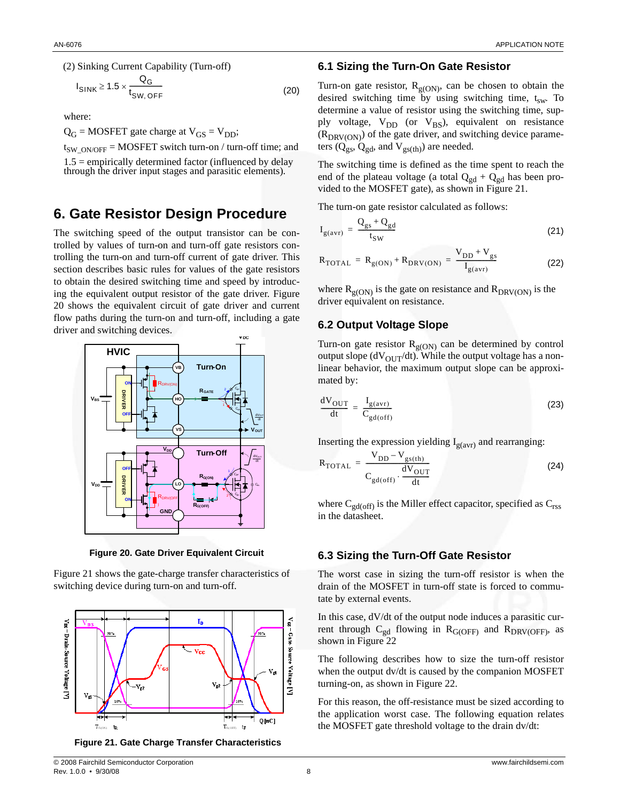

$$
I_{\text{SINK}} \ge 1.5 \times \frac{Q_{\text{G}}}{t_{\text{SW, OFF}}} \tag{20}
$$

where:

 $Q_G$  = MOSFET gate charge at  $V_{GS} = V_{DD}$ ;

 $t_{SWON/OFF} = MOSFET$  switch turn-on / turn-off time; and

 $1.5$  = empirically determined factor (influenced by delay through the driver input stages and parasitic elements).

## **6. Gate Resistor Design Procedure**

The switching speed of the output transistor can be controlled by values of turn-on and turn-off gate resistors controlling the turn-on and turn-off current of gate driver. This section describes basic rules for values of the gate resistors to obtain the desired switching time and speed by introducing the equivalent output resistor of the gate driver. Figure 20 shows the equivalent circuit of gate driver and current flow paths during the turn-on and turn-off, including a gate driver and switching devices.



**Figure 20. Gate Driver Equivalent Circuit**

Figure 21 shows the gate-charge transfer characteristics of switching device during turn-on and turn-off.



 **Figure 21. Gate Charge Transfer Characteristics**

## **6.1 Sizing the Turn-On Gate Resistor**

Turn-on gate resistor,  $R_{g(ON)}$ , can be chosen to obtain the desired switching time by using switching time,  $t_{sw}$ . To determine a value of resistor using the switching time, supply voltage,  $V_{DD}$  (or  $V_{BS}$ ), equivalent on resistance  $(R_{DRV(ON)})$  of the gate driver, and switching device parameters ( $Q_{gs}$ ,  $Q_{gd}$ , and  $V_{gs(th)}$ ) are needed.

The switching time is defined as the time spent to reach the end of the plateau voltage (a total  $Q_{gd} + Q_{gd}$  has been provided to the MOSFET gate), as shown in Figure 21.

The turn-on gate resistor calculated as follows:

$$
I_{g(avr)} = \frac{Q_{gs} + Q_{gd}}{t_{SW}}
$$
\n(21)

$$
R_{\text{TOTAL}} = R_{g(ON)} + R_{\text{DRV(ON)}} = \frac{V_{DD} + V_{gs}}{I_{g(avr)}}
$$
(22)

where  $R_{g(ON)}$  is the gate on resistance and  $R_{DRV(ON)}$  is the driver equivalent on resistance.

#### **6.2 Output Voltage Slope**

Turn-on gate resistor  $R_{g(ON)}$  can be determined by control output slope ( $dV<sub>OUT</sub>/dt$ ). While the output voltage has a nonlinear behavior, the maximum output slope can be approximated by:

$$
\frac{dV_{OUT}}{dt} = \frac{I_{g(avr)}}{C_{gd(off)}}\tag{23}
$$

Inserting the expression yielding  $I_{g(avr)}$  and rearranging:

$$
R_{\text{TOTAL}} = \frac{V_{DD} - V_{gs(th)}}{C_{gd(off)} \cdot \frac{dV_{OUT}}{dt}}
$$
 (24)

where  $C_{gd(off)}$  is the Miller effect capacitor, specified as  $C_{rss}$ in the datasheet.

## **6.3 Sizing the Turn-Off Gate Resistor**

The worst case in sizing the turn-off resistor is when the drain of the MOSFET in turn-off state is forced to commutate by external events.

In this case, dV/dt of the output node induces a parasitic current through  $C_{gd}$  flowing in  $R_{G(OFF)}$  and  $R_{DRV(OFF)}$ , as shown in Figure 22

The following describes how to size the turn-off resistor when the output dv/dt is caused by the companion MOSFET turning-on, as shown in Figure 22.

For this reason, the off-resistance must be sized according to the application worst case. The following equation relates the MOSFET gate threshold voltage to the drain dv/dt: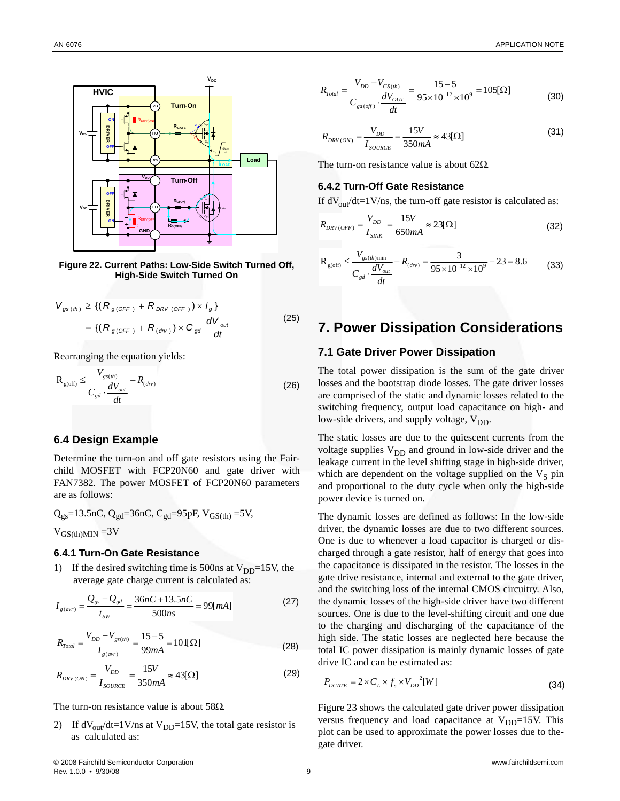

**Figure 22. Current Paths: Low-Side Switch Turned Off, High-Side Switch Turned On**

$$
V_{gs (th)} \geq \{ (R_{g(OFF)} + R_{DRV(OFF)}) \times i_g \}
$$
  
= \{ (R\_{g(OFF)} + R\_{(dv)}) \times C\_{gd} \frac{dV\_{out}}{dt} \tag{25}

Rearranging the equation yields:

$$
R_{g(\text{off})} \le \frac{V_{gs(th)}}{C_{gd} \cdot \frac{dV_{out}}{dt}} - R_{(dv)}
$$
(26)

#### **6.4 Design Example**

Determine the turn-on and off gate resistors using the Fairchild MOSFET with FCP20N60 and gate driver with FAN7382. The power MOSFET of FCP20N60 parameters are as follows:

$$
Q_{gs} = 13.5nC, Q_{gd} = 36nC, C_{gd} = 95pF, V_{GS(th)} = 5V,
$$
  

$$
V_{GS(th)MIN} = 3V
$$

#### **6.4.1 Turn-On Gate Resistance**

1) If the desired switching time is 500ns at  $V_{DD}$ =15V, the average gate charge current is calculated as:

$$
I_{g(avr)} = \frac{Q_{gs} + Q_{gd}}{t_{sw}} = \frac{36nC + 13.5nC}{500ns} = 99[mA]
$$
 (27)

$$
R_{\text{Total}} = \frac{V_{DD} - V_{\text{gs}(th)}}{I_{\text{g}(avr)}} = \frac{15 - 5}{99mA} = 101[\Omega]
$$
 (28)

$$
R_{DRV(ON)} = \frac{V_{DD}}{I_{source}} = \frac{15V}{350mA} \approx 43[\Omega]
$$
 (29)

The turn-on resistance value is about  $58\Omega$ .

2) If  $dV_{\text{out}}/dt=1$ V/ns at V<sub>DD</sub>=15V, the total gate resistor is as calculated as:

$$
R_{\text{Total}} = \frac{V_{DD} - V_{GS(th)}}{C_{\text{gd}(\text{off})} \cdot \frac{dV_{OUT}}{dt}} = \frac{15 - 5}{95 \times 10^{-12} \times 10^9} = 105[\Omega]
$$
(30)

$$
R_{DRV(ON)} = \frac{V_{DD}}{I_{SOLRCE}} = \frac{15V}{350mA} \approx 43[\Omega]
$$
\n(31)

The turn-on resistance value is about 62 $\Omega$ .

#### **6.4.2 Turn-Off Gate Resistance**

If  $dV_{\text{out}}/dt = 1$  V/ns, the turn-off gate resistor is calculated as:

$$
R_{DRV(OFF)} = \frac{V_{DD}}{I_{SINK}} = \frac{15V}{650mA} \approx 23[\Omega]
$$
\n(32)

$$
R_{\text{g(off)}} \le \frac{V_{\text{g(s(h)min}}}{C_{\text{gd}} \cdot \frac{dV_{\text{out}}}{dt}} - R_{\text{(div)}} = \frac{3}{95 \times 10^{-12} \times 10^9} - 23 = 8.6
$$
 (33)

## **7. Power Dissipation Considerations**

## **7.1 Gate Driver Power Dissipation**

The total power dissipation is the sum of the gate driver losses and the bootstrap diode losses. The gate driver losses are comprised of the static and dynamic losses related to the switching frequency, output load capacitance on high- and low-side drivers, and supply voltage,  $V_{DD}$ .

The static losses are due to the quiescent currents from the voltage supplies  $V_{DD}$  and ground in low-side driver and the leakage current in the level shifting stage in high-side driver, which are dependent on the voltage supplied on the  $V<sub>S</sub>$  pin and proportional to the duty cycle when only the high-side power device is turned on.

The dynamic losses are defined as follows: In the low-side driver, the dynamic losses are due to two different sources. One is due to whenever a load capacitor is charged or discharged through a gate resistor, half of energy that goes into the capacitance is dissipated in the resistor. The losses in the gate drive resistance, internal and external to the gate driver, and the switching loss of the internal CMOS circuitry. Also, the dynamic losses of the high-side driver have two different sources. One is due to the level-shifting circuit and one due to the charging and discharging of the capacitance of the high side. The static losses are neglected here because the total IC power dissipation is mainly dynamic losses of gate drive IC and can be estimated as:

$$
P_{DGATE} = 2 \times C_L \times f_s \times V_{DD}^2[W]
$$
\n(34)

Figure 23 shows the calculated gate driver power dissipation versus frequency and load capacitance at  $V_{DD}$ =15V. This plot can be used to approximate the power losses due to thegate driver.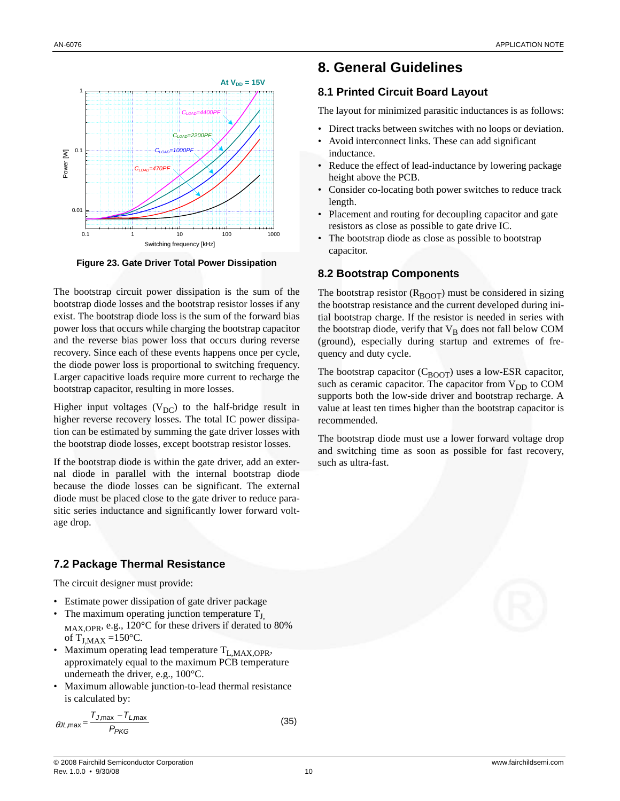

**Figure 23. Gate Driver Total Power Dissipation**

The bootstrap circuit power dissipation is the sum of the bootstrap diode losses and the bootstrap resistor losses if any exist. The bootstrap diode loss is the sum of the forward bias power loss that occurs while charging the bootstrap capacitor and the reverse bias power loss that occurs during reverse recovery. Since each of these events happens once per cycle, the diode power loss is proportional to switching frequency. Larger capacitive loads require more current to recharge the bootstrap capacitor, resulting in more losses.

Higher input voltages ( $V_{DC}$ ) to the half-bridge result in higher reverse recovery losses. The total IC power dissipation can be estimated by summing the gate driver losses with the bootstrap diode losses, except bootstrap resistor losses.

If the bootstrap diode is within the gate driver, add an external diode in parallel with the internal bootstrap diode because the diode losses can be significant. The external diode must be placed close to the gate driver to reduce parasitic series inductance and significantly lower forward voltage drop.

## **7.2 Package Thermal Resistance**

The circuit designer must provide:

- Estimate power dissipation of gate driver package
- The maximum operating junction temperature  $T_{J}$ , MAX,OPR, e.g., 120°C for these drivers if derated to 80% of  $T_{J,MAX} =150$ °C.
- Maximum operating lead temperature  $T_{L,MAX,OPR}$ , approximately equal to the maximum PCB temperature underneath the driver, e.g., 100°C.
- Maximum allowable junction-to-lead thermal resistance is calculated by:

$$
\theta J L, \text{max} = \frac{T_{J, \text{max}} - T_{L, \text{max}}}{P_{PKG}} \tag{35}
$$

## **8. General Guidelines**

## **8.1 Printed Circuit Board Layout**

The layout for minimized parasitic inductances is as follows:

- Direct tracks between switches with no loops or deviation.
- Avoid interconnect links. These can add significant inductance.
- Reduce the effect of lead-inductance by lowering package height above the PCB.
- Consider co-locating both power switches to reduce track length.
- Placement and routing for decoupling capacitor and gate resistors as close as possible to gate drive IC.
- The bootstrap diode as close as possible to bootstrap capacitor.

## **8.2 Bootstrap Components**

The bootstrap resistor  $(R_{\text{BOOT}})$  must be considered in sizing the bootstrap resistance and the current developed during initial bootstrap charge. If the resistor is needed in series with the bootstrap diode, verify that  $V_B$  does not fall below COM (ground), especially during startup and extremes of frequency and duty cycle.

The bootstrap capacitor  $(C_{\text{BOOT}})$  uses a low-ESR capacitor, such as ceramic capacitor. The capacitor from  $V_{DD}$  to COM supports both the low-side driver and bootstrap recharge. A value at least ten times higher than the bootstrap capacitor is recommended.

The bootstrap diode must use a lower forward voltage drop and switching time as soon as possible for fast recovery, such as ultra-fast.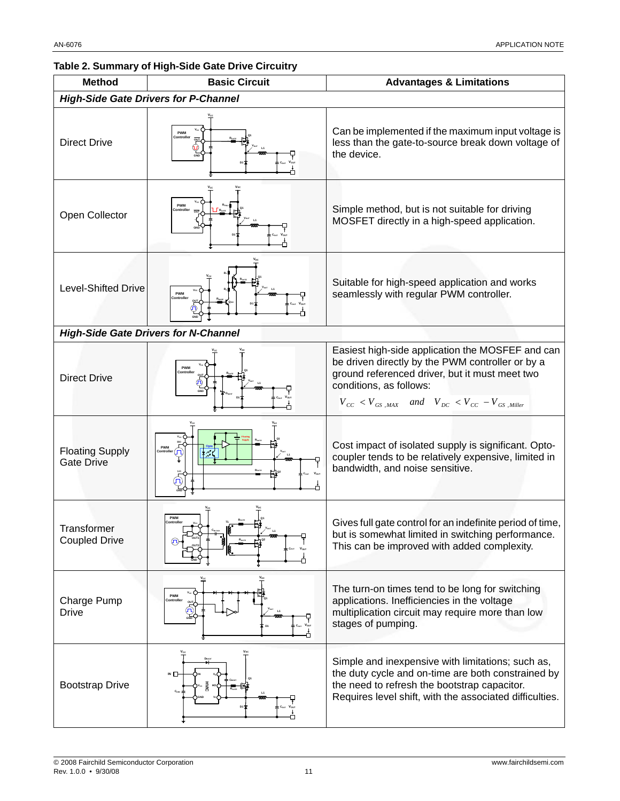## **Table 2. Summary of High-Side Gate Drive Circuitry**

| <b>Method</b>                               | <b>Basic Circuit</b> | <b>Advantages &amp; Limitations</b>                                                                                                                                                                                                                                  |  |
|---------------------------------------------|----------------------|----------------------------------------------------------------------------------------------------------------------------------------------------------------------------------------------------------------------------------------------------------------------|--|
| <b>High-Side Gate Drivers for P-Channel</b> |                      |                                                                                                                                                                                                                                                                      |  |
| <b>Direct Drive</b>                         | PWN                  | Can be implemented if the maximum input voltage is<br>less than the gate-to-source break down voltage of<br>the device.                                                                                                                                              |  |
| Open Collector                              | <b>PWM</b>           | Simple method, but is not suitable for driving<br>MOSFET directly in a high-speed application.                                                                                                                                                                       |  |
| <b>Level-Shifted Drive</b>                  | PWM                  | Suitable for high-speed application and works<br>seamlessly with regular PWM controller.                                                                                                                                                                             |  |
| <b>High-Side Gate Drivers for N-Channel</b> |                      |                                                                                                                                                                                                                                                                      |  |
| <b>Direct Drive</b>                         | PWM                  | Easiest high-side application the MOSFEF and can<br>be driven directly by the PWM controller or by a<br>ground referenced driver, but it must meet two<br>conditions, as follows:<br>$V_{CC}$ < $V_{GS}$ , $_{MAX}$ and $V_{DC}$ < $V_{CC}$ – $V_{GS}$ , $_{Miller}$ |  |
| <b>Floating Supply</b><br><b>Gate Drive</b> | PWN                  | Cost impact of isolated supply is significant. Opto-<br>coupler tends to be relatively expensive, limited in<br>bandwidth, and noise sensitive.                                                                                                                      |  |
| Transformer<br><b>Coupled Drive</b>         | <b>PWM</b>           | Gives full gate control for an indefinite period of time,<br>but is somewhat limited in switching performance.<br>This can be improved with added complexity.                                                                                                        |  |
| Charge Pump<br><b>Drive</b>                 | PWM<br>Controller    | The turn-on times tend to be long for switching<br>applications. Inefficiencies in the voltage<br>multiplication circuit may require more than low<br>stages of pumping.                                                                                             |  |
| <b>Bootstrap Drive</b>                      | $\blacksquare$       | Simple and inexpensive with limitations; such as,<br>the duty cycle and on-time are both constrained by<br>the need to refresh the bootstrap capacitor.<br>Requires level shift, with the associated difficulties.                                                   |  |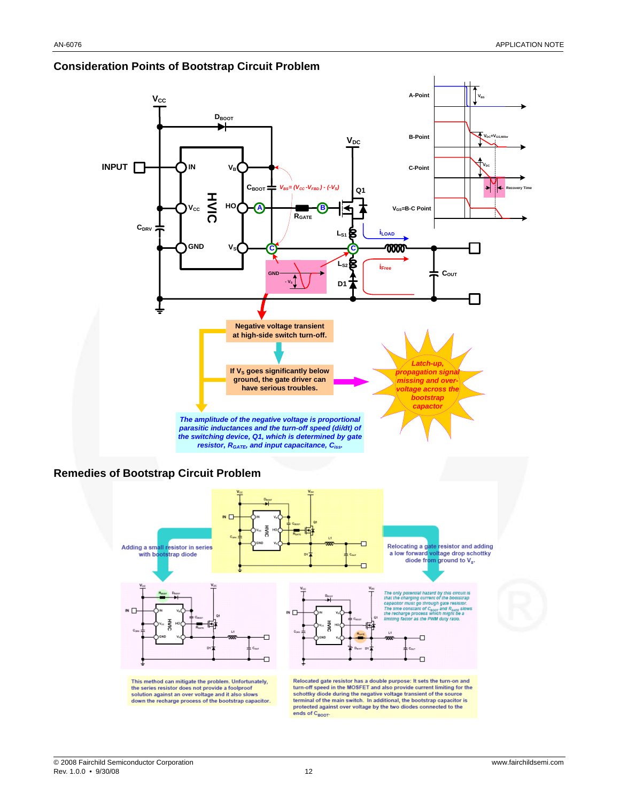

## **Consideration Points of Bootstrap Circuit Problem**